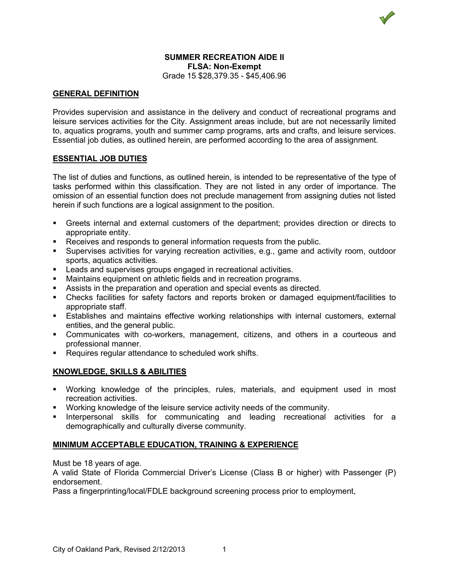## **SUMMER RECREATION AIDE II FLSA: Non-Exempt** Grade 15 \$28,379.35 - \$45,406.96

# **GENERAL DEFINITION**

Provides supervision and assistance in the delivery and conduct of recreational programs and leisure services activities for the City. Assignment areas include, but are not necessarily limited to, aquatics programs, youth and summer camp programs, arts and crafts, and leisure services. Essential job duties, as outlined herein, are performed according to the area of assignment.

### **ESSENTIAL JOB DUTIES**

The list of duties and functions, as outlined herein, is intended to be representative of the type of tasks performed within this classification. They are not listed in any order of importance. The omission of an essential function does not preclude management from assigning duties not listed herein if such functions are a logical assignment to the position.

- Greets internal and external customers of the department; provides direction or directs to appropriate entity.
- Receives and responds to general information requests from the public.
- Supervises activities for varying recreation activities, e.g., game and activity room, outdoor sports, aquatics activities.
- **Leads and supervises groups engaged in recreational activities.**
- Maintains equipment on athletic fields and in recreation programs.
- Assists in the preparation and operation and special events as directed.
- Checks facilities for safety factors and reports broken or damaged equipment/facilities to appropriate staff.
- Establishes and maintains effective working relationships with internal customers, external entities, and the general public.
- Communicates with co-workers, management, citizens, and others in a courteous and professional manner.
- **Requires regular attendance to scheduled work shifts.**

# **KNOWLEDGE, SKILLS & ABILITIES**

- Working knowledge of the principles, rules, materials, and equipment used in most recreation activities.
- Working knowledge of the leisure service activity needs of the community.
- **Interpersonal skills for communicating and leading recreational activities for a** demographically and culturally diverse community.

#### **MINIMUM ACCEPTABLE EDUCATION, TRAINING & EXPERIENCE**

Must be 18 years of age.

A valid State of Florida Commercial Driver's License (Class B or higher) with Passenger (P) endorsement.

Pass a fingerprinting/local/FDLE background screening process prior to employment,